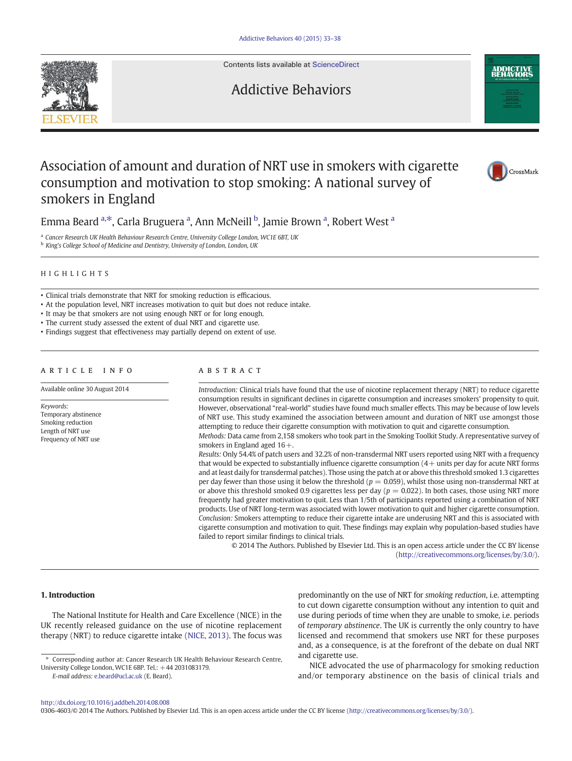Contents lists available at [ScienceDirect](http://www.sciencedirect.com/science/journal/03064603)

Addictive Behaviors



# Association of amount and duration of NRT use in smokers with cigarette consumption and motivation to stop smoking: A national survey of smokers in England



Emma Beard <sup>a,\*</sup>, Carla Bruguera <sup>a</sup>, Ann McNeill <sup>b</sup>, Jamie Brown <sup>a</sup>, Robert West <sup>a</sup>

<sup>a</sup> Cancer Research UK Health Behaviour Research Centre, University College London, WC1E 6BT, UK

**b** King's College School of Medicine and Dentistry, University of London, London, UK

# HIGHLIGHTS

• Clinical trials demonstrate that NRT for smoking reduction is efficacious.

• At the population level, NRT increases motivation to quit but does not reduce intake.

• It may be that smokers are not using enough NRT or for long enough.

• The current study assessed the extent of dual NRT and cigarette use.

• Findings suggest that effectiveness may partially depend on extent of use.

# article info abstract

Available online 30 August 2014

Keywords: Temporary abstinence Smoking reduction Length of NRT use Frequency of NRT use

Introduction: Clinical trials have found that the use of nicotine replacement therapy (NRT) to reduce cigarette consumption results in significant declines in cigarette consumption and increases smokers' propensity to quit. However, observational "real-world" studies have found much smaller effects. This may be because of low levels of NRT use. This study examined the association between amount and duration of NRT use amongst those attempting to reduce their cigarette consumption with motivation to quit and cigarette consumption.

Methods: Data came from 2,158 smokers who took part in the Smoking Toolkit Study. A representative survey of smokers in England aged  $16+$ .

Results: Only 54.4% of patch users and 32.2% of non-transdermal NRT users reported using NRT with a frequency that would be expected to substantially influence cigarette consumption  $(4 + \text{units per day for acute NRT forms})$ and at least daily for transdermal patches). Those using the patch at or above this threshold smoked 1.3 cigarettes per day fewer than those using it below the threshold ( $p = 0.059$ ), whilst those using non-transdermal NRT at or above this threshold smoked 0.9 cigarettes less per day ( $p = 0.022$ ). In both cases, those using NRT more frequently had greater motivation to quit. Less than 1/5th of participants reported using a combination of NRT products. Use of NRT long-term was associated with lower motivation to quit and higher cigarette consumption. Conclusion: Smokers attempting to reduce their cigarette intake are underusing NRT and this is associated with cigarette consumption and motivation to quit. These findings may explain why population-based studies have failed to report similar findings to clinical trials.

© 2014 The Authors. Published by Elsevier Ltd. This is an open access article under the CC BY license [\(http://creativecommons.org/licenses/by/3.0/\)](http://creativecommons.org/licenses/by/3.0/).

# 1. Introduction

The National Institute for Health and Care Excellence (NICE) in the UK recently released guidance on the use of nicotine replacement therapy (NRT) to reduce cigarette intake ([NICE, 2013](#page-5-0)). The focus was

E-mail address: [e.beard@ucl.ac.uk](mailto:e.beard@ucl.ac.uk) (E. Beard).

predominantly on the use of NRT for smoking reduction, i.e. attempting to cut down cigarette consumption without any intention to quit and use during periods of time when they are unable to smoke, i.e. periods of temporary abstinence. The UK is currently the only country to have licensed and recommend that smokers use NRT for these purposes and, as a consequence, is at the forefront of the debate on dual NRT and cigarette use.

NICE advocated the use of pharmacology for smoking reduction and/or temporary abstinence on the basis of clinical trials and

0306-4603/© 2014 The Authors. Published by Elsevier Ltd. This is an open access article under the CC BY license (<http://creativecommons.org/licenses/by/3.0/>).

<sup>⁎</sup> Corresponding author at: Cancer Research UK Health Behaviour Research Centre, University College London, WC1E 6BP. Tel.: +44 2031083179.

<http://dx.doi.org/10.1016/j.addbeh.2014.08.008>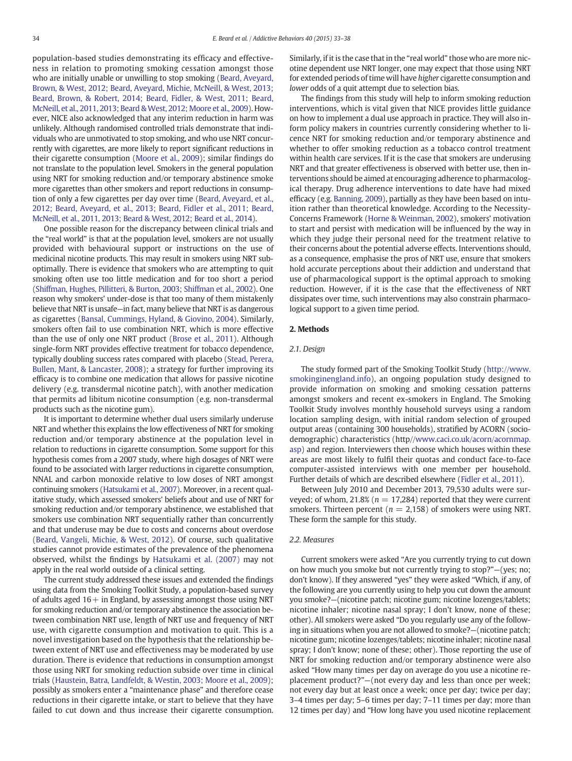population-based studies demonstrating its efficacy and effectiveness in relation to promoting smoking cessation amongst those who are initially unable or unwilling to stop smoking [\(Beard, Aveyard,](#page-5-0) [Brown, & West, 2012; Beard, Aveyard, Michie, McNeill, & West, 2013;](#page-5-0) [Beard, Brown, & Robert, 2014; Beard, Fidler, & West, 2011; Beard,](#page-5-0) [McNeill, et al., 2011, 2013; Beard & West, 2012; Moore et al., 2009](#page-5-0)). However, NICE also acknowledged that any interim reduction in harm was unlikely. Although randomised controlled trials demonstrate that individuals who are unmotivated to stop smoking, and who use NRT concurrently with cigarettes, are more likely to report significant reductions in their cigarette consumption [\(Moore et al., 2009\)](#page-5-0); similar findings do not translate to the population level. Smokers in the general population using NRT for smoking reduction and/or temporary abstinence smoke more cigarettes than other smokers and report reductions in consumption of only a few cigarettes per day over time [\(Beard, Aveyard, et al.,](#page-5-0) [2012; Beard, Aveyard, et al., 2013; Beard, Fidler et al., 2011; Beard,](#page-5-0) [McNeill, et al., 2011, 2013; Beard & West, 2012; Beard et al., 2014\)](#page-5-0).

One possible reason for the discrepancy between clinical trials and the "real world" is that at the population level, smokers are not usually provided with behavioural support or instructions on the use of medicinal nicotine products. This may result in smokers using NRT suboptimally. There is evidence that smokers who are attempting to quit smoking often use too little medication and for too short a period [\(Shiffman, Hughes, Pillitteri, & Burton, 2003; Shiffman et al., 2002](#page-5-0)). One reason why smokers' under-dose is that too many of them mistakenly believe that NRT is unsafe—in fact, many believe that NRT is as dangerous as cigarettes [\(Bansal, Cummings, Hyland, & Giovino, 2004](#page-5-0)). Similarly, smokers often fail to use combination NRT, which is more effective than the use of only one NRT product ([Brose et al., 2011](#page-5-0)). Although single-form NRT provides effective treatment for tobacco dependence, typically doubling success rates compared with placebo ([Stead, Perera,](#page-5-0) [Bullen, Mant, & Lancaster, 2008\)](#page-5-0); a strategy for further improving its efficacy is to combine one medication that allows for passive nicotine delivery (e.g. transdermal nicotine patch), with another medication that permits ad libitum nicotine consumption (e.g. non-transdermal products such as the nicotine gum).

It is important to determine whether dual users similarly underuse NRT and whether this explains the low effectiveness of NRT for smoking reduction and/or temporary abstinence at the population level in relation to reductions in cigarette consumption. Some support for this hypothesis comes from a 2007 study, where high dosages of NRT were found to be associated with larger reductions in cigarette consumption, NNAL and carbon monoxide relative to low doses of NRT amongst continuing smokers [\(Hatsukami et al., 2007](#page-5-0)). Moreover, in a recent qualitative study, which assessed smokers' beliefs about and use of NRT for smoking reduction and/or temporary abstinence, we established that smokers use combination NRT sequentially rather than concurrently and that underuse may be due to costs and concerns about overdose [\(Beard, Vangeli, Michie, & West, 2012\)](#page-5-0). Of course, such qualitative studies cannot provide estimates of the prevalence of the phenomena observed, whilst the findings by [Hatsukami et al. \(2007\)](#page-5-0) may not apply in the real world outside of a clinical setting.

The current study addressed these issues and extended the findings using data from the Smoking Toolkit Study, a population-based survey of adults aged  $16+$  in England, by assessing amongst those using NRT for smoking reduction and/or temporary abstinence the association between combination NRT use, length of NRT use and frequency of NRT use, with cigarette consumption and motivation to quit. This is a novel investigation based on the hypothesis that the relationship between extent of NRT use and effectiveness may be moderated by use duration. There is evidence that reductions in consumption amongst those using NRT for smoking reduction subside over time in clinical trials [\(Haustein, Batra, Landfeldt, & Westin, 2003; Moore et al., 2009\)](#page-5-0); possibly as smokers enter a "maintenance phase" and therefore cease reductions in their cigarette intake, or start to believe that they have failed to cut down and thus increase their cigarette consumption. Similarly, if it is the case that in the "real world" those who are more nicotine dependent use NRT longer, one may expect that those using NRT for extended periods of time will have higher cigarette consumption and lower odds of a quit attempt due to selection bias.

The findings from this study will help to inform smoking reduction interventions, which is vital given that NICE provides little guidance on how to implement a dual use approach in practice. They will also inform policy makers in countries currently considering whether to licence NRT for smoking reduction and/or temporary abstinence and whether to offer smoking reduction as a tobacco control treatment within health care services. If it is the case that smokers are underusing NRT and that greater effectiveness is observed with better use, then interventions should be aimed at encouraging adherence to pharmacological therapy. Drug adherence interventions to date have had mixed efficacy (e.g. [Banning, 2009](#page-5-0)), partially as they have been based on intuition rather than theoretical knowledge. According to the Necessity-Concerns Framework [\(Horne & Weinman, 2002](#page-5-0)), smokers' motivation to start and persist with medication will be influenced by the way in which they judge their personal need for the treatment relative to their concerns about the potential adverse effects. Interventions should, as a consequence, emphasise the pros of NRT use, ensure that smokers hold accurate perceptions about their addiction and understand that use of pharmacological support is the optimal approach to smoking reduction. However, if it is the case that the effectiveness of NRT dissipates over time, such interventions may also constrain pharmacological support to a given time period.

# 2. Methods

# 2.1. Design

The study formed part of the Smoking Toolkit Study [\(http://www.](http://www.smokinginengland.info) [smokinginengland.info](http://www.smokinginengland.info)), an ongoing population study designed to provide information on smoking and smoking cessation patterns amongst smokers and recent ex-smokers in England. The Smoking Toolkit Study involves monthly household surveys using a random location sampling design, with initial random selection of grouped output areas (containing 300 households), stratified by ACORN (sociodemographic) characteristics (http//[www.caci.co.uk/acorn/acornmap.](http://www.caci.co.uk/acorn/acornmap.asp) [asp\)](http://www.caci.co.uk/acorn/acornmap.asp) and region. Interviewers then choose which houses within these areas are most likely to fulfil their quotas and conduct face-to-face computer-assisted interviews with one member per household. Further details of which are described elsewhere [\(Fidler et al., 2011\)](#page-5-0).

Between July 2010 and December 2013, 79,530 adults were surveyed; of whom, 21.8% ( $n = 17,284$ ) reported that they were current smokers. Thirteen percent ( $n = 2,158$ ) of smokers were using NRT. These form the sample for this study.

# 2.2. Measures

Current smokers were asked "Are you currently trying to cut down on how much you smoke but not currently trying to stop?"—(yes; no; don't know). If they answered "yes" they were asked "Which, if any, of the following are you currently using to help you cut down the amount you smoke?—(nicotine patch; nicotine gum; nicotine lozenges/tablets; nicotine inhaler; nicotine nasal spray; I don't know, none of these; other). All smokers were asked "Do you regularly use any of the following in situations when you are not allowed to smoke?—(nicotine patch; nicotine gum; nicotine lozenges/tablets; nicotine inhaler; nicotine nasal spray; I don't know; none of these; other). Those reporting the use of NRT for smoking reduction and/or temporary abstinence were also asked "How many times per day on average do you use a nicotine replacement product?"—(not every day and less than once per week; not every day but at least once a week; once per day; twice per day; 3–4 times per day; 5–6 times per day; 7–11 times per day; more than 12 times per day) and "How long have you used nicotine replacement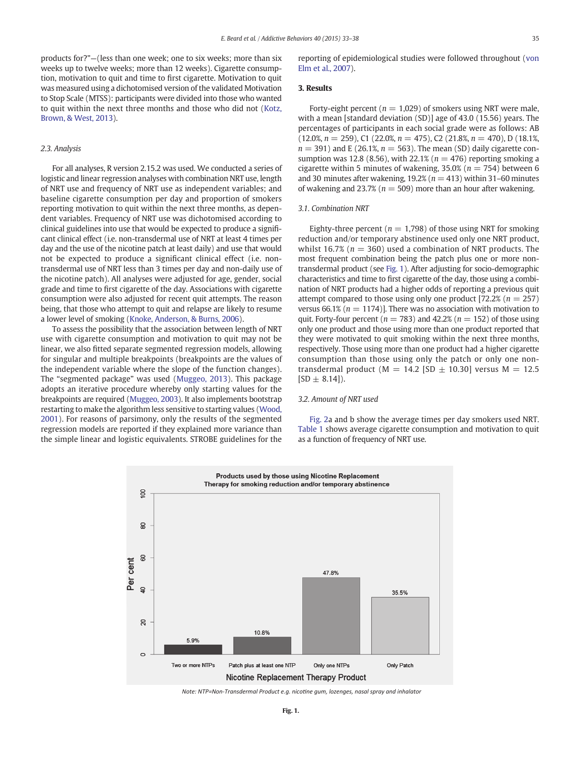products for?"—(less than one week; one to six weeks; more than six weeks up to twelve weeks; more than 12 weeks). Cigarette consumption, motivation to quit and time to first cigarette. Motivation to quit was measured using a dichotomised version of the validated Motivation to Stop Scale (MTSS): participants were divided into those who wanted to quit within the next three months and those who did not [\(Kotz,](#page-5-0) [Brown, & West, 2013\)](#page-5-0).

# 2.3. Analysis

For all analyses, R version 2.15.2 was used. We conducted a series of logistic and linear regression analyses with combination NRT use, length of NRT use and frequency of NRT use as independent variables; and baseline cigarette consumption per day and proportion of smokers reporting motivation to quit within the next three months, as dependent variables. Frequency of NRT use was dichotomised according to clinical guidelines into use that would be expected to produce a significant clinical effect (i.e. non-transdermal use of NRT at least 4 times per day and the use of the nicotine patch at least daily) and use that would not be expected to produce a significant clinical effect (i.e. nontransdermal use of NRT less than 3 times per day and non-daily use of the nicotine patch). All analyses were adjusted for age, gender, social grade and time to first cigarette of the day. Associations with cigarette consumption were also adjusted for recent quit attempts. The reason being, that those who attempt to quit and relapse are likely to resume a lower level of smoking [\(Knoke, Anderson, & Burns, 2006\)](#page-5-0).

To assess the possibility that the association between length of NRT use with cigarette consumption and motivation to quit may not be linear, we also fitted separate segmented regression models, allowing for singular and multiple breakpoints (breakpoints are the values of the independent variable where the slope of the function changes). The "segmented package" was used ([Muggeo, 2013](#page-5-0)). This package adopts an iterative procedure whereby only starting values for the breakpoints are required [\(Muggeo, 2003](#page-5-0)). It also implements bootstrap restarting to make the algorithm less sensitive to starting values [\(Wood,](#page-5-0) [2001\)](#page-5-0). For reasons of parsimony, only the results of the segmented regression models are reported if they explained more variance than the simple linear and logistic equivalents. STROBE guidelines for the reporting of epidemiological studies were followed throughout ([von](#page-5-0) [Elm et al., 2007\)](#page-5-0).

# 3. Results

Forty-eight percent ( $n = 1,029$ ) of smokers using NRT were male, with a mean [standard deviation (SD)] age of 43.0 (15.56) years. The percentages of participants in each social grade were as follows: AB  $(12.0\%, n = 259)$ , C1 (22.0%,  $n = 475$ ), C2 (21.8%,  $n = 470$ ), D (18.1%,  $n = 391$ ) and E (26.1%,  $n = 563$ ). The mean (SD) daily cigarette consumption was 12.8 (8.56), with 22.1% ( $n = 476$ ) reporting smoking a cigarette within 5 minutes of wakening,  $35.0\%$  ( $n = 754$ ) between 6 and 30 minutes after wakening, 19.2% ( $n = 413$ ) within 31-60 minutes of wakening and 23.7% ( $n = 509$ ) more than an hour after wakening.

### 3.1. Combination NRT

Eighty-three percent ( $n = 1.798$ ) of those using NRT for smoking reduction and/or temporary abstinence used only one NRT product, whilst 16.7% ( $n = 360$ ) used a combination of NRT products. The most frequent combination being the patch plus one or more nontransdermal product (see Fig. 1). After adjusting for socio-demographic characteristics and time to first cigarette of the day, those using a combination of NRT products had a higher odds of reporting a previous quit attempt compared to those using only one product [72.2% ( $n = 257$ ) versus 66.1% ( $n = 1174$ )]. There was no association with motivation to quit. Forty-four percent ( $n = 783$ ) and 42.2% ( $n = 152$ ) of those using only one product and those using more than one product reported that they were motivated to quit smoking within the next three months, respectively. Those using more than one product had a higher cigarette consumption than those using only the patch or only one nontransdermal product ( $M = 14.2$  [SD  $\pm$  10.30] versus M = 12.5  $[SD \pm 8.14]$ .

### 3.2. Amount of NRT used

[Fig. 2](#page-3-0)a and b show the average times per day smokers used NRT. [Table 1](#page-3-0) shows average cigarette consumption and motivation to quit as a function of frequency of NRT use.



Note: NTP=Non-Transdermal Product e.g. nicotine gum, lozenges, nasal spray and inhalator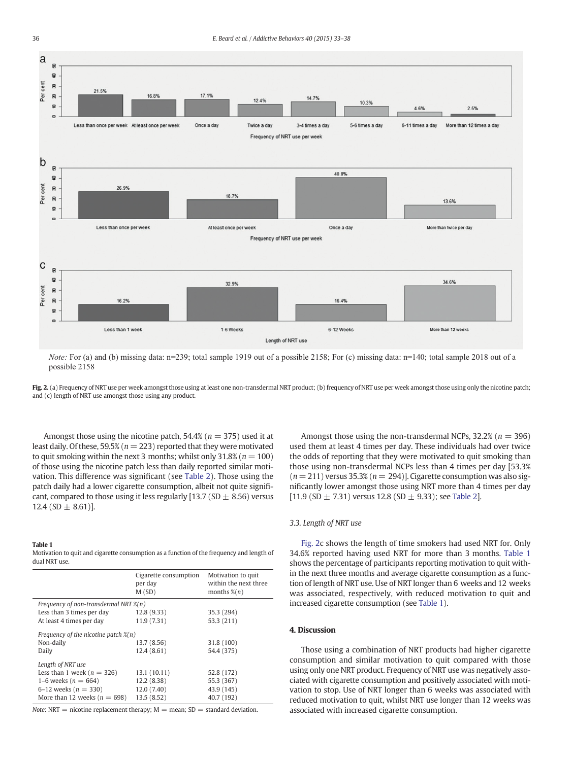<span id="page-3-0"></span>

*Note:* For (a) and (b) missing data: n=239; total sample 1919 out of a possible 2158; For (c) missing data: n=140; total sample 2018 out of a possible 2158

Fig. 2. (a) Frequency of NRT use per week amongst those using at least one non-transdermal NRT product; (b) frequency of NRT use per week amongst those using only the nicotine patch; and (c) length of NRT use amongst those using any product.

Amongst those using the nicotine patch,  $54.4\%$  ( $n = 375$ ) used it at least daily. Of these, 59.5% ( $n = 223$ ) reported that they were motivated to quit smoking within the next 3 months; whilst only  $31.8\%$  ( $n = 100$ ) of those using the nicotine patch less than daily reported similar motivation. This difference was significant (see [Table 2](#page-4-0)). Those using the patch daily had a lower cigarette consumption, albeit not quite significant, compared to those using it less regularly [13.7 (SD  $\pm$  8.56) versus 12.4 (SD  $\pm$  8.61)].

#### Table 1

Motivation to quit and cigarette consumption as a function of the frequency and length of dual NRT use.

|                                                   | Cigarette consumption<br>per day<br>M(SD) | Motivation to quit<br>within the next three<br>months $\mathcal{K}(n)$ |  |  |  |  |
|---------------------------------------------------|-------------------------------------------|------------------------------------------------------------------------|--|--|--|--|
| Frequency of non-transdermal NRT $\mathcal{X}(n)$ |                                           |                                                                        |  |  |  |  |
| Less than 3 times per day                         | 12.8(9.33)                                | 35.3 (294)                                                             |  |  |  |  |
| At least 4 times per day                          | 11.9(7.31)                                | 53.3 (211)                                                             |  |  |  |  |
| Frequency of the nicotine patch $\mathcal{X}(n)$  |                                           |                                                                        |  |  |  |  |
| Non-daily                                         | 13.7 (8.56)                               | 31.8 (100)                                                             |  |  |  |  |
| Daily                                             | 12.4(8.61)                                | 54.4 (375)                                                             |  |  |  |  |
| Length of NRT use                                 |                                           |                                                                        |  |  |  |  |
| Less than 1 week ( $n = 326$ )                    | 13.1 (10.11)                              | 52.8 (172)                                                             |  |  |  |  |
| 1–6 weeks ( $n = 664$ )                           | 12.2(8.38)                                | 55.3 (367)                                                             |  |  |  |  |
| 6–12 weeks ( $n = 330$ )                          | 12.0 (7.40)                               | 43.9 (145)                                                             |  |  |  |  |
| More than 12 weeks ( $n = 698$ )                  | 13.5(8.52)                                | 40.7 (192)                                                             |  |  |  |  |

Note: NRT = nicotine replacement therapy;  $M =$  mean; SD = standard deviation.

Amongst those using the non-transdermal NCPs,  $32.2\%$  ( $n = 396$ ) used them at least 4 times per day. These individuals had over twice the odds of reporting that they were motivated to quit smoking than those using non-transdermal NCPs less than 4 times per day [53.3%  $(n = 211)$  versus 35.3%  $(n = 294)$ ]. Cigarette consumption was also significantly lower amongst those using NRT more than 4 times per day [11.9 (SD  $\pm$  7.31) versus 12.8 (SD  $\pm$  9.33); see [Table 2](#page-4-0)].

# 3.3. Length of NRT use

Fig. 2c shows the length of time smokers had used NRT for. Only 34.6% reported having used NRT for more than 3 months. Table 1 shows the percentage of participants reporting motivation to quit within the next three months and average cigarette consumption as a function of length of NRT use. Use of NRT longer than 6 weeks and 12 weeks was associated, respectively, with reduced motivation to quit and increased cigarette consumption (see Table 1).

# 4. Discussion

Those using a combination of NRT products had higher cigarette consumption and similar motivation to quit compared with those using only one NRT product. Frequency of NRT use was negatively associated with cigarette consumption and positively associated with motivation to stop. Use of NRT longer than 6 weeks was associated with reduced motivation to quit, whilst NRT use longer than 12 weeks was associated with increased cigarette consumption.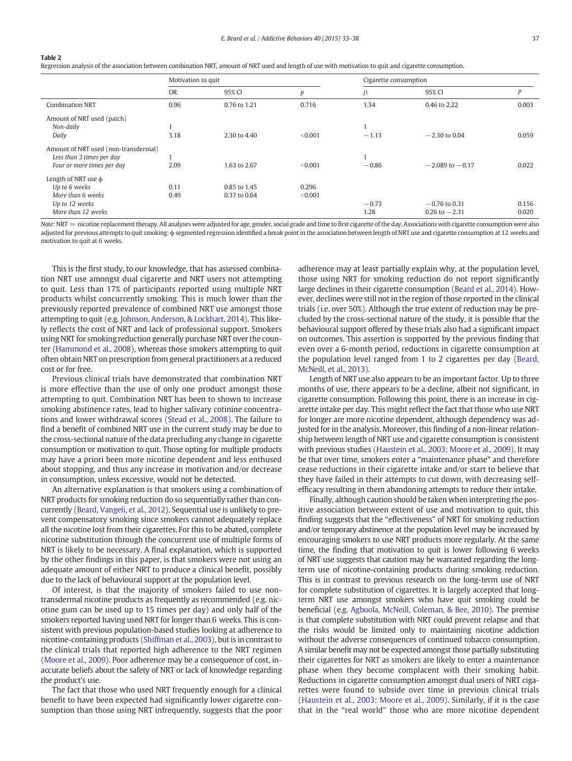#### <span id="page-4-0"></span>Table 2

Regression analysis of the association between combination NRT, amount of NRT used and length of use with motivation to quit and cigarette consumption.

|                                      | Motivation to quit |              | Cigarette consumption |         |                     |       |
|--------------------------------------|--------------------|--------------|-----------------------|---------|---------------------|-------|
|                                      | <b>OR</b>          | 95% CI       | p                     | β       | 95% CI              | P     |
| <b>Combination NRT</b>               | 0.96               | 0.76 to 1.21 | 0.716                 | 1.34    | 0.46 to 2.22        | 0.003 |
| Amount of NRT used (patch)           |                    |              |                       |         |                     |       |
| Non-daily                            |                    |              |                       |         |                     |       |
| Daily                                | 3.18               | 2.30 to 4.40 | < 0.001               | $-1.13$ | $-2.30$ to 0.04     | 0.059 |
| Amount of NRT used (non-transdermal) |                    |              |                       |         |                     |       |
| Less than 3 times per day            |                    |              |                       |         |                     |       |
| Four or more times per day           | 2.09               | 1.63 to 2.67 | < 0.001               | $-0.86$ | $-2.089$ to $-0.17$ | 0.022 |
| Length of NRT use $\phi$             |                    |              |                       |         |                     |       |
| Up to 6 weeks                        | 0.11               | 0.85 to 1.45 | 0.296                 |         |                     |       |
| More than 6 weeks                    | 0.49               | 0.37 to 0.64 | < 0.001               |         |                     |       |
| Up to 12 weeks                       |                    |              |                       | $-0.73$ | $-0.76$ to 0.31     | 0.156 |
| More than 12 weeks                   |                    |              |                       | 1.28    | $0.26$ to $-2.31$   | 0.020 |

Note: NRT = nicotine replacement therapy. All analyses were adjusted for age, gender, social grade and time to first cigarette of the day. Associations with cigarette consumption were also adjusted for previous attempts to quit smoking;  $\phi$  segmented regression identified a break point in the association between length of NRT use and cigarette consumption at 12 weeks and motivation to quit at 6 weeks.

This is the first study, to our knowledge, that has assessed combination NRT use amongst dual cigarette and NRT users not attempting to quit. Less than 17% of participants reported using multiple NRT products whilst concurrently smoking. This is much lower than the previously reported prevalence of combined NRT use amongst those attempting to quit (e.g. [Johnson, Anderson, & Lockhart, 2014](#page-5-0)). This likely reflects the cost of NRT and lack of professional support. Smokers using NRT for smoking reduction generally purchase NRT over the counter [\(Hammond et al., 2008](#page-5-0)), whereas those smokers attempting to quit often obtain NRT on prescription from general practitioners at a reduced cost or for free.

Previous clinical trials have demonstrated that combination NRT is more effective than the use of only one product amongst those attempting to quit. Combination NRT has been to shown to increase smoking abstinence rates, lead to higher salivary cotinine concentrations and lower withdrawal scores ([Stead et al., 2008](#page-5-0)). The failure to find a benefit of combined NRT use in the current study may be due to the cross-sectional nature of the data precluding any change in cigarette consumption or motivation to quit. Those opting for multiple products may have a priori been more nicotine dependent and less enthused about stopping, and thus any increase in motivation and/or decrease in consumption, unless excessive, would not be detected.

An alternative explanation is that smokers using a combination of NRT products for smoking reduction do so sequentially rather than concurrently [\(Beard, Vangeli, et al., 2012](#page-5-0)). Sequential use is unlikely to prevent compensatory smoking since smokers cannot adequately replace all the nicotine lost from their cigarettes. For this to be abated, complete nicotine substitution through the concurrent use of multiple forms of NRT is likely to be necessary. A final explanation, which is supported by the other findings in this paper, is that smokers were not using an adequate amount of either NRT to produce a clinical benefit, possibly due to the lack of behavioural support at the population level.

Of interest, is that the majority of smokers failed to use nontransdermal nicotine products as frequently as recommended (e.g. nicotine gum can be used up to 15 times per day) and only half of the smokers reported having used NRT for longer than 6 weeks. This is consistent with previous population-based studies looking at adherence to nicotine-containing products ([Shiffman et al., 2003](#page-5-0)), but is in contrast to the clinical trials that reported high adherence to the NRT regimen [\(Moore et al., 2009\)](#page-5-0). Poor adherence may be a consequence of cost, inaccurate beliefs about the safety of NRT or lack of knowledge regarding the product's use.

The fact that those who used NRT frequently enough for a clinical benefit to have been expected had significantly lower cigarette consumption than those using NRT infrequently, suggests that the poor adherence may at least partially explain why, at the population level, those using NRT for smoking reduction do not report significantly large declines in their cigarette consumption ([Beard et al., 2014](#page-5-0)). However, declines were still not in the region of those reported in the clinical trials (i.e. over 50%). Although the true extent of reduction may be precluded by the cross-sectional nature of the study, it is possible that the behavioural support offered by these trials also had a significant impact on outcomes. This assertion is supported by the previous finding that even over a 6-month period, reductions in cigarette consumption at the population level ranged from 1 to 2 cigarettes per day ([Beard,](#page-5-0) [McNeill, et al., 2013](#page-5-0)).

Length of NRT use also appears to be an important factor. Up to three months of use, there appears to be a decline, albeit not significant, in cigarette consumption. Following this point, there is an increase in cigarette intake per day. This might reflect the fact that those who use NRT for longer are more nicotine dependent, although dependency was adjusted for in the analysis. Moreover, this finding of a non-linear relationship between length of NRT use and cigarette consumption is consistent with previous studies [\(Haustein et al., 2003; Moore et al., 2009\)](#page-5-0). It may be that over time, smokers enter a "maintenance phase" and therefore cease reductions in their cigarette intake and/or start to believe that they have failed in their attempts to cut down, with decreasing selfefficacy resulting in them abandoning attempts to reduce their intake.

Finally, although caution should be taken when interpreting the positive association between extent of use and motivation to quit, this finding suggests that the "effectiveness" of NRT for smoking reduction and/or temporary abstinence at the population level may be increased by encouraging smokers to use NRT products more regularly. At the same time, the finding that motivation to quit is lower following 6 weeks of NRT use suggests that caution may be warranted regarding the longterm use of nicotine-containing products during smoking reduction. This is in contrast to previous research on the long-term use of NRT for complete substitution of cigarettes. It is largely accepted that longterm NRT use amongst smokers who have quit smoking could be beneficial (e.g. [Agboola, McNeill, Coleman, & Bee, 2010](#page-5-0)). The premise is that complete substitution with NRT could prevent relapse and that the risks would be limited only to maintaining nicotine addiction without the adverse consequences of continued tobacco consumption. A similar benefit may not be expected amongst those partially substituting their cigarettes for NRT as smokers are likely to enter a maintenance phase when they become complacent with their smoking habit. Reductions in cigarette consumption amongst dual users of NRT cigarettes were found to subside over time in previous clinical trials [\(Haustein et al., 2003; Moore et al., 2009\)](#page-5-0). Similarly, if it is the case that in the "real world" those who are more nicotine dependent